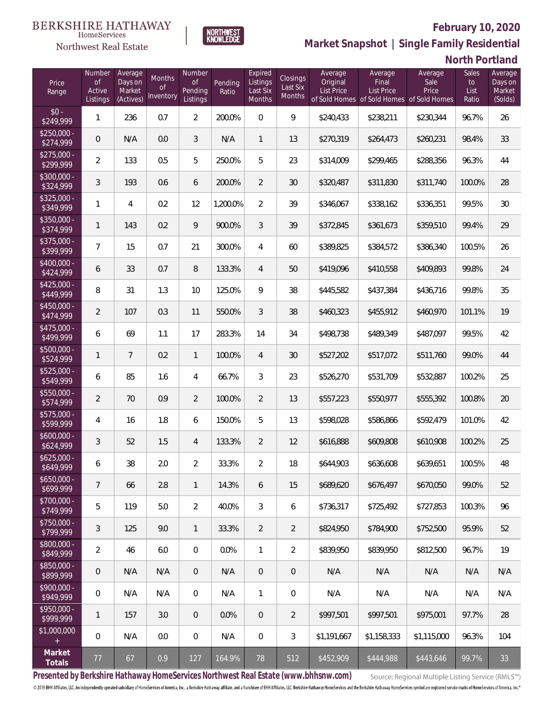

 $\label{lem:sevices} \textsc{Home} \textsc{Service} \textsc{s}$ 

**Market Snapshot | Single Family Residential**

## **North Portland**

| Price<br>Range            | Number<br><b>of</b><br>Active<br>Listings | Average<br>Days on<br>Market<br>(Actives) | Months<br>0f<br>Inventory | Number<br><b>of</b><br>Pending<br>Listings | Pending<br>Ratio | Expired<br>Listings<br>Last Six<br>Months | Closings<br>Last Six<br>Months | Average<br>Original<br><b>List Price</b> | Average<br>Final<br>List Price | Average<br>Sale<br>Price<br>of Sold Homes of Sold Homes of Sold Homes | Sales<br>to<br>List<br>Ratio | Average<br>Days on<br>Market<br>(Solds) |
|---------------------------|-------------------------------------------|-------------------------------------------|---------------------------|--------------------------------------------|------------------|-------------------------------------------|--------------------------------|------------------------------------------|--------------------------------|-----------------------------------------------------------------------|------------------------------|-----------------------------------------|
| $$0 -$<br>\$249,999       | $\mathbf{1}$                              | 236                                       | 0.7                       | $\overline{a}$                             | 200.0%           | $\Omega$                                  | 9                              | \$240,433                                | \$238,211                      | \$230,344                                                             | 96.7%                        | 26                                      |
| $$250,000 -$<br>\$274,999 | 0                                         | N/A                                       | 0.0                       | 3                                          | N/A              | $\mathbf{1}$                              | 13                             | \$270,319                                | \$264,473                      | \$260,231                                                             | 98.4%                        | 33                                      |
| $$275,000 -$<br>\$299,999 | $\overline{2}$                            | 133                                       | 0.5                       | 5                                          | 250.0%           | 5                                         | 23                             | \$314,009                                | \$299,465                      | \$288,356                                                             | 96.3%                        | 44                                      |
| $$300,000 -$<br>\$324,999 | 3                                         | 193                                       | 0.6                       | 6                                          | 200.0%           | 2                                         | 30                             | \$320,487                                | \$311,830                      | \$311,740                                                             | 100.0%                       | 28                                      |
| $$325,000 -$<br>\$349,999 | $\mathbf{1}$                              | 4                                         | 0.2                       | 12                                         | 1,200.0%         | 2                                         | 39                             | \$346,067                                | \$338,162                      | \$336,351                                                             | 99.5%                        | 30                                      |
| $$350,000 -$<br>\$374,999 | $\mathbf{1}$                              | 143                                       | 0.2                       | 9                                          | 900.0%           | 3                                         | 39                             | \$372,845                                | \$361,673                      | \$359,510                                                             | 99.4%                        | 29                                      |
| $$375,000 -$<br>\$399,999 | $\overline{7}$                            | 15                                        | 0.7                       | 21                                         | 300.0%           | $\overline{4}$                            | 60                             | \$389,825                                | \$384,572                      | \$386,340                                                             | 100.5%                       | 26                                      |
| \$400,000 -<br>\$424,999  | 6                                         | 33                                        | 0.7                       | 8                                          | 133.3%           | $\overline{4}$                            | 50                             | \$419,096                                | \$410,558                      | \$409,893                                                             | 99.8%                        | 24                                      |
| $$425,000 -$<br>\$449,999 | 8                                         | 31                                        | 1.3                       | 10                                         | 125.0%           | 9                                         | 38                             | \$445,582                                | \$437,384                      | \$436,716                                                             | 99.8%                        | 35                                      |
| $$450,000 -$<br>\$474,999 | $\overline{2}$                            | 107                                       | 0.3                       | 11                                         | 550.0%           | 3                                         | 38                             | \$460,323                                | \$455,912                      | \$460,970                                                             | 101.1%                       | 19                                      |
| \$475,000 -<br>\$499,999  | 6                                         | 69                                        | 1.1                       | 17                                         | 283.3%           | 14                                        | 34                             | \$498,738                                | \$489,349                      | \$487,097                                                             | 99.5%                        | 42                                      |
| $$500,000 -$<br>\$524,999 | 1                                         | $\overline{7}$                            | 0.2                       | $\mathbf{1}$                               | 100.0%           | $\overline{4}$                            | 30                             | \$527,202                                | \$517,072                      | \$511,760                                                             | 99.0%                        | 44                                      |
| $$525,000 -$<br>\$549,999 | 6                                         | 85                                        | 1.6                       | $\overline{4}$                             | 66.7%            | 3                                         | 23                             | \$526,270                                | \$531,709                      | \$532,887                                                             | 100.2%                       | 25                                      |
| $$550,000 -$<br>\$574,999 | $\overline{2}$                            | 70                                        | 0.9                       | $\overline{2}$                             | 100.0%           | $\overline{2}$                            | 13                             | \$557,223                                | \$550,977                      | \$555,392                                                             | 100.8%                       | 20                                      |
| \$575,000 -<br>\$599,999  | 4                                         | 16                                        | 1.8                       | 6                                          | 150.0%           | 5                                         | 13                             | \$598,028                                | \$586,866                      | \$592,479                                                             | 101.0%                       | 42                                      |
| $$600,000 -$<br>\$624,999 | 3                                         | 52                                        | 1.5                       | $\overline{4}$                             | 133.3%           | $\overline{2}$                            | 12                             | \$616,888                                | \$609,808                      | \$610,908                                                             | 100.2%                       | 25                                      |
| $$625,000 -$<br>\$649,999 | 6                                         | 38                                        | 2.0                       | $\overline{2}$                             | 33.3%            | $\overline{2}$                            | 18                             | \$644,903                                | \$636,608                      | \$639,651                                                             | 100.5%                       | 48                                      |
| $$650,000 -$<br>\$699,999 | $\overline{7}$                            | 66                                        | 2.8                       | $\mathbf{1}$                               | 14.3%            | 6                                         | 15                             | \$689,620                                | \$676,497                      | \$670,050                                                             | 99.0%                        | 52                                      |
| \$700,000 -<br>\$749,999  | 5                                         | 119                                       | 5.0                       | $\overline{2}$                             | 40.0%            | $\mathfrak{Z}$                            | 6                              | \$736,317                                | \$725,492                      | \$727,853                                                             | 100.3%                       | 96                                      |
| $$750,000 -$<br>\$799,999 | $\mathfrak{Z}$                            | 125                                       | 9.0                       | $\mathbf{1}$                               | 33.3%            | $\overline{2}$                            | $\overline{2}$                 | \$824,950                                | \$784,900                      | \$752,500                                                             | 95.9%                        | 52                                      |
| $$800,000 -$<br>\$849,999 | $\overline{2}$                            | 46                                        | 6.0                       | $\mathbf 0$                                | 0.0%             | $\mathbf{1}$                              | $\overline{2}$                 | \$839,950                                | \$839,950                      | \$812,500                                                             | 96.7%                        | 19                                      |
| \$850,000 -<br>\$899,999  | $\mathbf 0$                               | N/A                                       | N/A                       | $\overline{0}$                             | N/A              | $\overline{0}$                            | $\mathsf{O}\xspace$            | N/A                                      | N/A                            | N/A                                                                   | N/A                          | N/A                                     |
| $$900,000 -$<br>\$949,999 | 0                                         | N/A                                       | N/A                       | $\mathbf 0$                                | N/A              | $\mathbf{1}$                              | 0                              | N/A                                      | N/A                            | N/A                                                                   | N/A                          | N/A                                     |
| $$950,000 -$<br>\$999,999 | $\mathbf{1}$                              | 157                                       | 3.0                       | $\overline{0}$                             | 0.0%             | $\mathbf 0$                               | $\overline{2}$                 | \$997,501                                | \$997,501                      | \$975,001                                                             | 97.7%                        | 28                                      |
| \$1,000,000<br>$+$        | $\boldsymbol{0}$                          | N/A                                       | 0.0                       | $\mathbf 0$                                | N/A              | $\mathbf 0$                               | $\mathfrak{Z}$                 | \$1,191,667                              | \$1,158,333                    | \$1,115,000                                                           | 96.3%                        | 104                                     |
| Market<br>Totals          | $77 \,$                                   | 67                                        | 0.9                       | 127                                        | 164.9%           | 78                                        | 512                            | \$452,909                                | \$444,988                      | \$443,646                                                             | 99.7%                        | 33                                      |

**Presented by Berkshire Hathaway HomeServices Northwest Real Estate (www.bhhsnw.com)**

Source: Regional Multiple Listing Service (RMLS™)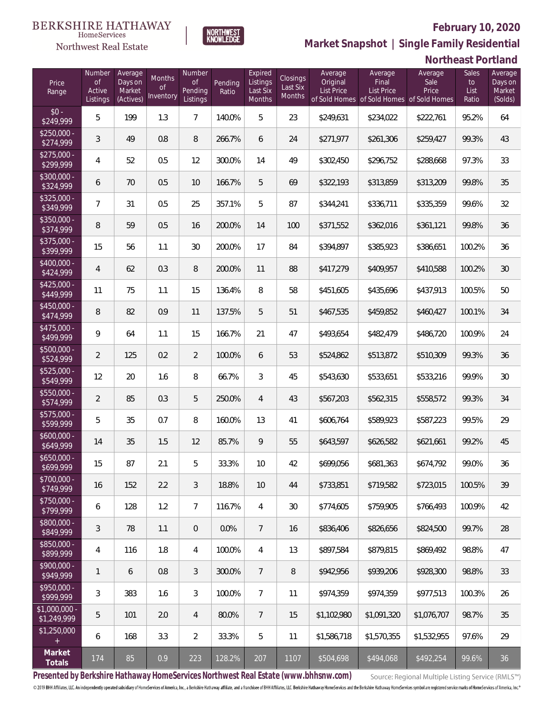

**NORTHWEST**<br>KNOWLEDGE

Northwest Real Estate

**Market Snapshot | Single Family Residential**

## **Northeast Portland**

| Price<br>Range                    | Number<br>of<br>Active<br>Listings | Average<br>Days on<br>Market<br>(Actives) | Months<br>0f<br>Inventory | Number<br><b>of</b><br>Pending<br>Listings | Pending<br>Ratio | Expired<br>Listings<br>Last Six<br>Months | Closings<br>Last Six<br><b>Months</b> | Average<br>Original<br><b>List Price</b> | Average<br>Final<br>List Price<br>of Sold Homes of Sold Homes of Sold Homes | Average<br>Sale<br>Price | Sales<br>to<br>List<br>Ratio | Average<br>Days on<br>Market<br>(Solds) |
|-----------------------------------|------------------------------------|-------------------------------------------|---------------------------|--------------------------------------------|------------------|-------------------------------------------|---------------------------------------|------------------------------------------|-----------------------------------------------------------------------------|--------------------------|------------------------------|-----------------------------------------|
| $$0 -$<br>\$249,999               | 5                                  | 199                                       | 1.3                       | $\overline{7}$                             | 140.0%           | 5                                         | 23                                    | \$249,631                                | \$234,022                                                                   | \$222,761                | 95.2%                        | 64                                      |
| $$250,000 -$<br>\$274,999         | 3                                  | 49                                        | 0.8                       | 8                                          | 266.7%           | 6                                         | 24                                    | \$271,977                                | \$261,306                                                                   | \$259,427                | 99.3%                        | 43                                      |
| $$275,000 -$<br>\$299,999         | 4                                  | 52                                        | 0.5                       | 12                                         | 300.0%           | 14                                        | 49                                    | \$302,450                                | \$296,752                                                                   | \$288,668                | 97.3%                        | 33                                      |
| $$300,000 -$<br>\$324,999         | 6                                  | 70                                        | 0.5                       | 10                                         | 166.7%           | 5                                         | 69                                    | \$322,193                                | \$313,859                                                                   | \$313,209                | 99.8%                        | 35                                      |
| $$325,000 -$<br>\$349,999         | 7                                  | 31                                        | 0.5                       | 25                                         | 357.1%           | 5                                         | 87                                    | \$344,241                                | \$336,711                                                                   | \$335,359                | 99.6%                        | 32                                      |
| $$350,000 -$<br>\$374,999         | 8                                  | 59                                        | 0.5                       | 16                                         | 200.0%           | 14                                        | 100                                   | \$371,552                                | \$362,016                                                                   | \$361,121                | 99.8%                        | 36                                      |
| $$375,000 -$<br>\$399,999         | 15                                 | 56                                        | 1.1                       | 30                                         | 200.0%           | 17                                        | 84                                    | \$394,897                                | \$385,923                                                                   | \$386,651                | 100.2%                       | 36                                      |
| $$400,000 -$<br>\$424,999         | $\overline{4}$                     | 62                                        | 0.3                       | 8                                          | 200.0%           | 11                                        | 88                                    | \$417,279                                | \$409,957                                                                   | \$410,588                | 100.2%                       | 30                                      |
| $$425,000 -$<br>\$449,999         | 11                                 | 75                                        | 1.1                       | 15                                         | 136.4%           | 8                                         | 58                                    | \$451,605                                | \$435,696                                                                   | \$437,913                | 100.5%                       | 50                                      |
| $$450,000 -$<br>\$474,999         | 8                                  | 82                                        | 0.9                       | 11                                         | 137.5%           | 5                                         | 51                                    | \$467,535                                | \$459,852                                                                   | \$460,427                | 100.1%                       | 34                                      |
| $$475,000 -$<br>$\sqrt{$499,999}$ | 9                                  | 64                                        | 1.1                       | 15                                         | 166.7%           | 21                                        | 47                                    | \$493,654                                | \$482,479                                                                   | \$486,720                | 100.9%                       | 24                                      |
| $$500,000 -$<br>\$524,999         | $\overline{2}$                     | 125                                       | 0.2                       | $\overline{2}$                             | 100.0%           | 6                                         | 53                                    | \$524,862                                | \$513,872                                                                   | \$510,309                | 99.3%                        | 36                                      |
| $$525,000 -$<br>\$549,999         | 12                                 | 20                                        | 1.6                       | $\, 8$                                     | 66.7%            | 3                                         | 45                                    | \$543,630                                | \$533,651                                                                   | \$533,216                | 99.9%                        | 30                                      |
| $$550,000 -$<br>\$574,999         | $\overline{2}$                     | 85                                        | 0.3                       | 5                                          | 250.0%           | $\overline{4}$                            | 43                                    | \$567,203                                | \$562,315                                                                   | \$558,572                | 99.3%                        | 34                                      |
| $$575,000 -$<br>\$599,999         | 5                                  | 35                                        | 0.7                       | 8                                          | 160.0%           | 13                                        | 41                                    | \$606,764                                | \$589,923                                                                   | \$587,223                | 99.5%                        | 29                                      |
| $$600,000 -$<br>\$649,999         | 14                                 | 35                                        | 1.5                       | 12                                         | 85.7%            | 9                                         | 55                                    | \$643,597                                | \$626,582                                                                   | \$621,661                | 99.2%                        | 45                                      |
| $$650,000 -$<br>\$699,999         | 15                                 | 87                                        | 2.1                       | 5                                          | 33.3%            | 10                                        | 42                                    | \$699,056                                | \$681,363                                                                   | \$674,792                | 99.0%                        | 36                                      |
| $$700,000 -$<br>\$749,999         | 16                                 | 152                                       | 2.2                       | 3                                          | 18.8%            | 10                                        | 44                                    | \$733,851                                | \$719,582                                                                   | \$723,015                | 100.5%                       | 39                                      |
| $$750,000 -$<br>\$799,999         | 6                                  | 128                                       | 1.2                       | $7\overline{ }$                            | 116.7%           | $\overline{4}$                            | 30                                    | \$774,605                                | \$759,905                                                                   | \$766,493                | 100.9%                       | 42                                      |
| $$800,000 -$<br>\$849,999         | 3                                  | 78                                        | 1.1                       | $\overline{0}$                             | 0.0%             | $\overline{7}$                            | 16                                    | \$836,406                                | \$826,656                                                                   | \$824,500                | 99.7%                        | 28                                      |
| $$850,000 -$<br>\$899,999         | 4                                  | 116                                       | 1.8                       | $\overline{4}$                             | 100.0%           | $\overline{4}$                            | 13                                    | \$897,584                                | \$879,815                                                                   | \$869,492                | 98.8%                        | 47                                      |
| $$900,000 -$<br>\$949,999         | 1                                  | 6                                         | 0.8                       | 3                                          | 300.0%           | $7\phantom{.0}$                           | 8                                     | \$942,956                                | \$939,206                                                                   | \$928,300                | 98.8%                        | 33                                      |
| \$950,000 -<br>\$999,999          | 3                                  | 383                                       | 1.6                       | 3                                          | 100.0%           | $\overline{7}$                            | 11                                    | \$974,359                                | \$974,359                                                                   | \$977,513                | 100.3%                       | 26                                      |
| $$1,000,000$ -<br>\$1,249,999     | 5                                  | 101                                       | 2.0                       | 4                                          | 80.0%            | $7\phantom{.0}$                           | 15                                    | \$1,102,980                              | \$1,091,320                                                                 | \$1,076,707              | 98.7%                        | 35                                      |
| \$1,250,000<br>$+$                | 6                                  | 168                                       | 3.3                       | $\overline{2}$                             | 33.3%            | 5                                         | 11                                    | \$1,586,718                              | \$1,570,355                                                                 | \$1,532,955              | 97.6%                        | 29                                      |
| Market<br>Totals                  | 174                                | 85                                        | 0.9                       | 223                                        | 128.2%           | 207                                       | 1107                                  | \$504,698                                | \$494,068                                                                   | \$492,254                | 99.6%                        | 36                                      |

**Presented by Berkshire Hathaway HomeServices Northwest Real Estate (www.bhhsnw.com)**

Source: Regional Multiple Listing Service (RMLS™)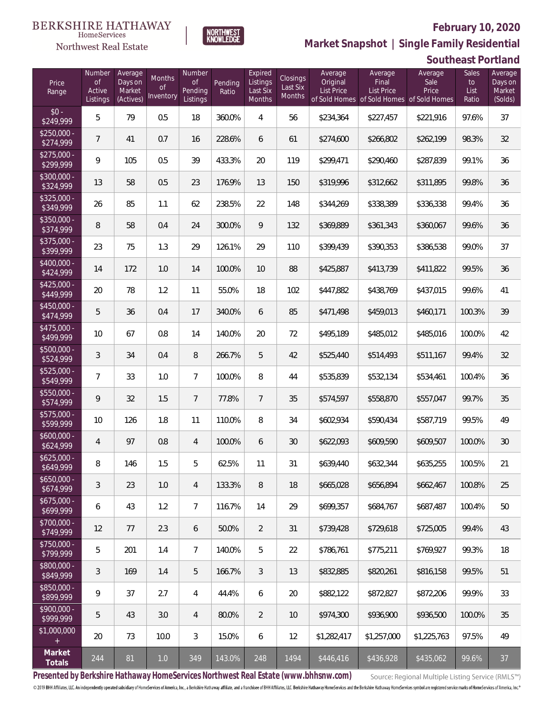**Southeast Portland**



**Market Snapshot | Single Family Residential**

#### $\label{lem:sevices} \textsc{Home} \textsc{Service} \textsc{s}$ Northwest Real Estate

| Price<br>Range            | Number<br><b>of</b><br>Active<br>Listings | Average<br>Days on<br>Market<br>(Actives) | Months<br><b>of</b><br>Inventory | <b>Number</b><br><b>of</b><br>Pending<br>Listings | Pending<br>Ratio | Expired<br>Listings<br>Last Six<br>Months | <b>Closings</b><br>Last Six<br>Months | Average<br>Original<br>List Price | Average<br>Final<br>List Price<br>of Sold Homes of Sold Homes of Sold Homes | Average<br>Sale<br>Price | Sales<br>to<br>List<br>Ratio | Average<br>Days on<br>Market<br>(Solds) |
|---------------------------|-------------------------------------------|-------------------------------------------|----------------------------------|---------------------------------------------------|------------------|-------------------------------------------|---------------------------------------|-----------------------------------|-----------------------------------------------------------------------------|--------------------------|------------------------------|-----------------------------------------|
| $$0 -$<br>\$249,999       | 5                                         | 79                                        | 0.5                              | 18                                                | 360.0%           | $\overline{4}$                            | 56                                    | \$234,364                         | \$227,457                                                                   | \$221,916                | 97.6%                        | 37                                      |
| $$250,000 -$<br>\$274,999 | $\overline{7}$                            | 41                                        | 0.7                              | 16                                                | 228.6%           | 6                                         | 61                                    | \$274,600                         | \$266,802                                                                   | \$262,199                | 98.3%                        | 32                                      |
| $$275,000 -$<br>\$299,999 | 9                                         | 105                                       | 0.5                              | 39                                                | 433.3%           | 20                                        | 119                                   | \$299,471                         | \$290,460                                                                   | \$287,839                | 99.1%                        | 36                                      |
| \$300,000 -<br>\$324,999  | 13                                        | 58                                        | 0.5                              | 23                                                | 176.9%           | 13                                        | 150                                   | \$319,996                         | \$312,662                                                                   | \$311,895                | 99.8%                        | 36                                      |
| $$325,000 -$<br>\$349,999 | 26                                        | 85                                        | 1.1                              | 62                                                | 238.5%           | 22                                        | 148                                   | \$344,269                         | \$338,389                                                                   | \$336,338                | 99.4%                        | 36                                      |
| $$350,000 -$<br>\$374,999 | 8                                         | 58                                        | 0.4                              | 24                                                | 300.0%           | 9                                         | 132                                   | \$369,889                         | \$361,343                                                                   | \$360,067                | 99.6%                        | 36                                      |
| $$375,000 -$<br>\$399,999 | 23                                        | 75                                        | 1.3                              | 29                                                | 126.1%           | 29                                        | 110                                   | \$399,439                         | \$390,353                                                                   | \$386,538                | 99.0%                        | 37                                      |
| $$400,000 -$<br>\$424,999 | 14                                        | 172                                       | 1.0                              | 14                                                | 100.0%           | 10                                        | 88                                    | \$425,887                         | \$413,739                                                                   | \$411,822                | 99.5%                        | 36                                      |
| $$425,000 -$<br>\$449,999 | 20                                        | 78                                        | 1.2                              | 11                                                | 55.0%            | 18                                        | 102                                   | \$447,882                         | \$438,769                                                                   | \$437,015                | 99.6%                        | 41                                      |
| $$450,000 -$<br>\$474,999 | 5                                         | 36                                        | 0.4                              | 17                                                | 340.0%           | 6                                         | 85                                    | \$471,498                         | \$459,013                                                                   | \$460,171                | 100.3%                       | 39                                      |
| $$475,000 -$<br>\$499,999 | 10                                        | 67                                        | 0.8                              | 14                                                | 140.0%           | 20                                        | 72                                    | \$495,189                         | \$485,012                                                                   | \$485,016                | 100.0%                       | 42                                      |
| $$500,000 -$<br>\$524,999 | 3                                         | 34                                        | 0.4                              | $\, 8$                                            | 266.7%           | 5                                         | 42                                    | \$525,440                         | \$514,493                                                                   | \$511,167                | 99.4%                        | 32                                      |
| $$525,000 -$<br>\$549,999 | 7                                         | 33                                        | 1.0                              | $\overline{7}$                                    | 100.0%           | 8                                         | 44                                    | \$535,839                         | \$532,134                                                                   | \$534,461                | 100.4%                       | 36                                      |
| \$550,000 -<br>\$574,999  | 9                                         | 32                                        | 1.5                              | $\overline{7}$                                    | 77.8%            | $\overline{7}$                            | 35                                    | \$574,597                         | \$558,870                                                                   | \$557,047                | 99.7%                        | 35                                      |
| \$575,000 -<br>\$599,999  | 10                                        | 126                                       | 1.8                              | 11                                                | 110.0%           | 8                                         | 34                                    | \$602,934                         | \$590,434                                                                   | \$587,719                | 99.5%                        | 49                                      |
| $$600,000 -$<br>\$624,999 | $\overline{4}$                            | 97                                        | 0.8                              | $\overline{4}$                                    | 100.0%           | 6                                         | 30                                    | \$622,093                         | \$609,590                                                                   | \$609,507                | 100.0%                       | 30                                      |
| $$625,000 -$<br>\$649,999 | 8                                         | 146                                       | 1.5                              | 5                                                 | 62.5%            | 11                                        | 31                                    | \$639,440                         | \$632,344                                                                   | \$635,255                | 100.5%                       | 21                                      |
| $$650,000 -$<br>\$674,999 | 3                                         | 23                                        | 1.0                              | $\overline{4}$                                    | 133.3%           | 8                                         | 18                                    | \$665,028                         | \$656,894                                                                   | \$662,467                | 100.8%                       | 25                                      |
| $$675,000 -$<br>\$699,999 | 6                                         | 43                                        | 1.2                              | $7\overline{ }$                                   | 116.7%           | 14                                        | 29                                    | \$699,357                         | \$684,767                                                                   | \$687,487                | 100.4%                       | 50                                      |
| $$700,000 -$<br>\$749,999 | 12                                        | 77                                        | 2.3                              | 6                                                 | 50.0%            | $\overline{2}$                            | 31                                    | \$739,428                         | \$729,618                                                                   | \$725,005                | 99.4%                        | 43                                      |
| $$750,000 -$<br>\$799,999 | 5                                         | 201                                       | 1.4                              | $7\overline{ }$                                   | 140.0%           | 5                                         | 22                                    | \$786,761                         | \$775,211                                                                   | \$769,927                | 99.3%                        | 18                                      |
| \$800,000 -<br>\$849,999  | $\mathfrak{Z}$                            | 169                                       | 1.4                              | 5                                                 | 166.7%           | $\mathfrak{Z}$                            | 13                                    | \$832,885                         | \$820,261                                                                   | \$816,158                | 99.5%                        | 51                                      |
| \$850,000 -<br>\$899,999  | 9                                         | 37                                        | 2.7                              | 4                                                 | 44.4%            | 6                                         | 20                                    | \$882,122                         | \$872,827                                                                   | \$872,206                | 99.9%                        | 33                                      |
| \$900,000 -<br>\$999,999  | 5                                         | 43                                        | 3.0                              | 4                                                 | 80.0%            | $\overline{2}$                            | 10                                    | \$974,300                         | \$936,900                                                                   | \$936,500                | 100.0%                       | 35                                      |
| \$1,000,000<br>$+$        | 20                                        | 73                                        | 10.0                             | 3                                                 | 15.0%            | 6                                         | 12                                    | \$1,282,417                       | \$1,257,000                                                                 | \$1,225,763              | 97.5%                        | 49                                      |
| Market<br>Totals          | 244                                       | 81                                        | 1.0                              | 349                                               | 143.0%           | 248                                       | 1494                                  | \$446,416                         | \$436,928                                                                   | \$435,062                | 99.6%                        | 37                                      |

**Presented by Berkshire Hathaway HomeServices Northwest Real Estate (www.bhhsnw.com)**

Source: Regional Multiple Listing Service (RMLS™)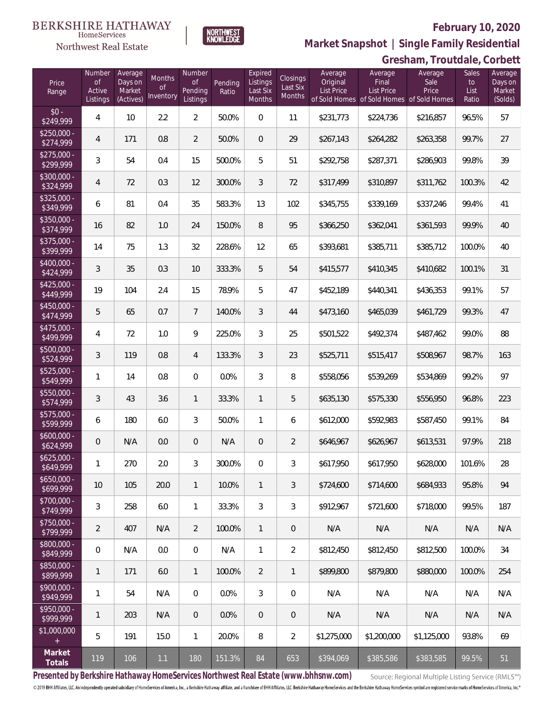

**NORTHWEST**<br>KNOWLEDGE

Northwest Real Estate

**Market Snapshot | Single Family Residential**

## **Gresham, Troutdale, Corbett**

| Price<br>Range            | Number<br><b>of</b><br>Active<br>Listings | Average<br>Days on<br>Market<br>(Actives) | <b>Months</b><br>0f<br>Inventory | Number<br><b>of</b><br>Pending<br>Listings | Pending<br>Ratio | Expired<br>Listings<br>Last Six<br>Months | <b>Closings</b><br>Last Six<br>Months | Average<br>Original<br><b>List Price</b> | Average<br>Final<br>List Price<br>of Sold Homes of Sold Homes of Sold Homes | Average<br>Sale<br>Price | Sales<br>to<br>List<br>Ratio | Average<br>Days on<br>Market<br>(Solds) |
|---------------------------|-------------------------------------------|-------------------------------------------|----------------------------------|--------------------------------------------|------------------|-------------------------------------------|---------------------------------------|------------------------------------------|-----------------------------------------------------------------------------|--------------------------|------------------------------|-----------------------------------------|
| $$0 -$<br>\$249,999       | 4                                         | 10                                        | 2.2                              | $\overline{2}$                             | 50.0%            | $\Omega$                                  | 11                                    | \$231,773                                | \$224,736                                                                   | \$216,857                | 96.5%                        | 57                                      |
| $$250,000 -$<br>\$274,999 | $\overline{4}$                            | 171                                       | 0.8                              | $\overline{2}$                             | 50.0%            | $\overline{0}$                            | 29                                    | \$267,143                                | \$264,282                                                                   | \$263,358                | 99.7%                        | 27                                      |
| $$275,000 -$<br>\$299,999 | 3                                         | 54                                        | 0.4                              | 15                                         | 500.0%           | 5                                         | 51                                    | \$292,758                                | \$287,371                                                                   | \$286,903                | 99.8%                        | 39                                      |
| $$300,000 -$<br>\$324,999 | $\overline{4}$                            | 72                                        | 0.3                              | 12                                         | 300.0%           | 3                                         | 72                                    | \$317,499                                | \$310,897                                                                   | \$311,762                | 100.3%                       | 42                                      |
| $$325,000 -$<br>\$349,999 | 6                                         | 81                                        | 0.4                              | 35                                         | 583.3%           | 13                                        | 102                                   | \$345,755                                | \$339,169                                                                   | \$337,246                | 99.4%                        | 41                                      |
| \$350,000 -<br>\$374,999  | 16                                        | 82                                        | 1.0                              | 24                                         | 150.0%           | 8                                         | 95                                    | \$366,250                                | \$362,041                                                                   | \$361,593                | 99.9%                        | 40                                      |
| \$375,000 -<br>\$399,999  | 14                                        | 75                                        | 1.3                              | 32                                         | 228.6%           | 12                                        | 65                                    | \$393,681                                | \$385,711                                                                   | \$385,712                | 100.0%                       | 40                                      |
| $$400,000 -$<br>\$424,999 | 3                                         | 35                                        | 0.3                              | 10                                         | 333.3%           | 5                                         | 54                                    | \$415,577                                | \$410,345                                                                   | \$410,682                | 100.1%                       | 31                                      |
| $$425,000 -$<br>\$449,999 | 19                                        | 104                                       | 2.4                              | 15                                         | 78.9%            | 5                                         | 47                                    | \$452,189                                | \$440,341                                                                   | \$436,353                | 99.1%                        | 57                                      |
| $$450,000 -$<br>\$474,999 | 5                                         | 65                                        | 0.7                              | $\overline{7}$                             | 140.0%           | 3                                         | 44                                    | \$473,160                                | \$465,039                                                                   | \$461,729                | 99.3%                        | 47                                      |
| $$475,000 -$<br>\$499,999 | 4                                         | 72                                        | 1.0                              | 9                                          | 225.0%           | 3                                         | 25                                    | \$501,522                                | \$492,374                                                                   | \$487,462                | 99.0%                        | 88                                      |
| $$500,000 -$<br>\$524,999 | 3                                         | 119                                       | 0.8                              | $\overline{4}$                             | 133.3%           | 3                                         | 23                                    | \$525,711                                | \$515,417                                                                   | \$508,967                | 98.7%                        | 163                                     |
| \$525,000 -<br>\$549,999  | 1                                         | 14                                        | 0.8                              | $\overline{0}$                             | 0.0%             | 3                                         | 8                                     | \$558,056                                | \$539,269                                                                   | \$534,869                | 99.2%                        | 97                                      |
| $$550,000 -$<br>\$574,999 | 3                                         | 43                                        | 3.6                              | $\mathbf{1}$                               | 33.3%            | $\mathbf{1}$                              | 5                                     | \$635,130                                | \$575,330                                                                   | \$556,950                | 96.8%                        | 223                                     |
| $$575,000 -$<br>\$599,999 | 6                                         | 180                                       | 6.0                              | 3                                          | 50.0%            | $\mathbf{1}$                              | 6                                     | \$612,000                                | \$592,983                                                                   | \$587,450                | 99.1%                        | 84                                      |
| $$600,000 -$<br>\$624,999 | $\mathbf 0$                               | N/A                                       | 0.0                              | $\overline{0}$                             | N/A              | $\overline{0}$                            | $\overline{2}$                        | \$646,967                                | \$626,967                                                                   | \$613,531                | 97.9%                        | 218                                     |
| $$625,000 -$<br>\$649,999 | 1                                         | 270                                       | 2.0                              | 3                                          | 300.0%           | 0                                         | 3                                     | \$617,950                                | \$617,950                                                                   | \$628,000                | 101.6%                       | 28                                      |
| $$650,000 -$<br>\$699,999 | 10                                        | 105                                       | 20.0                             | $\mathbf{1}$                               | 10.0%            | $\mathbf{1}$                              | 3                                     | \$724,600                                | \$714,600                                                                   | \$684,933                | 95.8%                        | 94                                      |
| $$700,000 -$<br>\$749,999 | 3                                         | 258                                       | 6.0                              | $\mathbf{1}$                               | 33.3%            | 3                                         | 3                                     | \$912,967                                | \$721,600                                                                   | \$718,000                | 99.5%                        | 187                                     |
| \$750,000 -<br>\$799,999  | $\overline{2}$                            | 407                                       | N/A                              | $\overline{2}$                             | 100.0%           | $\mathbf{1}$                              | $\mathbf 0$                           | N/A                                      | N/A                                                                         | N/A                      | N/A                          | N/A                                     |
| \$800,000 -<br>\$849,999  | $\boldsymbol{0}$                          | N/A                                       | 0.0                              | $\mathbf 0$                                | N/A              | $\mathbf{1}$                              | $\overline{2}$                        | \$812,450                                | \$812,450                                                                   | \$812,500                | 100.0%                       | 34                                      |
| \$850,000 -<br>\$899,999  | 1                                         | 171                                       | 6.0                              | $\mathbf{1}$                               | 100.0%           | $\overline{2}$                            | $\mathbf{1}$                          | \$899,800                                | \$879,800                                                                   | \$880,000                | 100.0%                       | 254                                     |
| $$900,000 -$<br>\$949,999 | 1                                         | 54                                        | N/A                              | $\mathbf 0$                                | 0.0%             | 3                                         | $\mathbf{0}$                          | N/A                                      | N/A                                                                         | N/A                      | N/A                          | N/A                                     |
| $$950,000 -$<br>\$999,999 | $\mathbf{1}$                              | 203                                       | N/A                              | $\overline{0}$                             | 0.0%             | $\overline{0}$                            | $\theta$                              | N/A                                      | N/A                                                                         | N/A                      | N/A                          | N/A                                     |
| \$1,000,000<br>$+$        | 5                                         | 191                                       | 15.0                             | $\mathbf{1}$                               | 20.0%            | 8                                         | $\overline{2}$                        | \$1,275,000                              | \$1,200,000                                                                 | \$1,125,000              | 93.8%                        | 69                                      |
| Market<br>Totals          | 119                                       | 106                                       | 1.1                              | 180                                        | 151.3%           | 84                                        | 653                                   | \$394,069                                | \$385,586                                                                   | \$383,585                | 99.5%                        | 51                                      |

**Presented by Berkshire Hathaway HomeServices Northwest Real Estate (www.bhhsnw.com)**

Source: Regional Multiple Listing Service (RMLS™)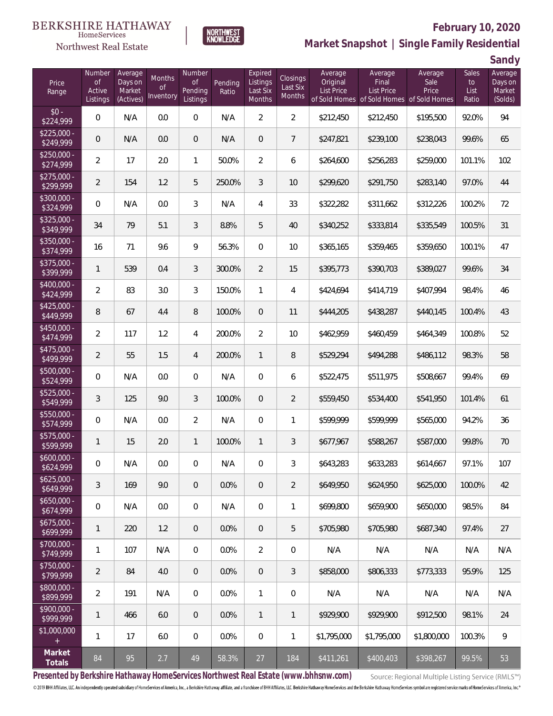#### **BERKSHIRE HATHAWAY** HomeServices





# **February 10, 2020**

**Market Snapshot | Single Family Residential**

**Sandy**

| Price<br>Range            | Number<br>of<br>Active<br>Listings | Average<br>Days on<br>Market<br>(Actives) | <b>Months</b><br><b>of</b><br>Inventory | Number<br><b>of</b><br>Pending<br>Listings | Pending<br>Ratio | Expired<br>Listings<br>Last Six<br>Months | Closings<br>Last Six<br>Months | Average<br>Original<br><b>List Price</b> | Average<br>Final<br><b>List Price</b><br>of Sold Homes of Sold Homes | Average<br>Sale<br>Price<br>of Sold Homes | <b>Sales</b><br>to<br>List<br>Ratio | 59. . 97<br>Average<br>Days on<br>Market<br>(Solds) |
|---------------------------|------------------------------------|-------------------------------------------|-----------------------------------------|--------------------------------------------|------------------|-------------------------------------------|--------------------------------|------------------------------------------|----------------------------------------------------------------------|-------------------------------------------|-------------------------------------|-----------------------------------------------------|
| $$0 -$<br>\$224,999       | $\mathbf 0$                        | N/A                                       | 0.0                                     | $\mathbf 0$                                | N/A              | $\overline{2}$                            | $\overline{2}$                 | \$212,450                                | \$212,450                                                            | \$195,500                                 | 92.0%                               | 94                                                  |
| $$225,000 -$<br>\$249,999 | 0                                  | N/A                                       | 0.0                                     | $\mathbf 0$                                | N/A              | $\mathbf 0$                               | $\overline{7}$                 | \$247,821                                | \$239,100                                                            | \$238,043                                 | 99.6%                               | 65                                                  |
| $$250,000 -$<br>\$274,999 | $\overline{2}$                     | 17                                        | 2.0                                     | $\mathbf{1}$                               | 50.0%            | $\overline{2}$                            | 6                              | \$264,600                                | \$256,283                                                            | \$259,000                                 | 101.1%                              | 102                                                 |
| $$275,000 -$<br>\$299,999 | $\overline{2}$                     | 154                                       | 1.2                                     | 5                                          | 250.0%           | $\mathfrak{Z}$                            | 10                             | \$299,620                                | \$291,750                                                            | \$283,140                                 | 97.0%                               | 44                                                  |
| $$300,000 -$<br>\$324,999 | $\mathbf 0$                        | N/A                                       | 0.0                                     | 3                                          | N/A              | 4                                         | 33                             | \$322,282                                | \$311,662                                                            | \$312,226                                 | 100.2%                              | 72                                                  |
| $$325,000 -$<br>\$349,999 | 34                                 | 79                                        | 5.1                                     | 3                                          | 8.8%             | 5                                         | 40                             | \$340,252                                | \$333,814                                                            | \$335,549                                 | 100.5%                              | 31                                                  |
| $$350,000 -$<br>\$374,999 | 16                                 | 71                                        | 9.6                                     | 9                                          | 56.3%            | $\overline{0}$                            | 10                             | \$365,165                                | \$359,465                                                            | \$359,650                                 | 100.1%                              | 47                                                  |
| \$375,000 -<br>\$399,999  | 1                                  | 539                                       | 0.4                                     | 3                                          | 300.0%           | $\overline{2}$                            | 15                             | \$395,773                                | \$390,703                                                            | \$389,027                                 | 99.6%                               | 34                                                  |
| $$400,000 -$<br>\$424,999 | $\overline{2}$                     | 83                                        | 3.0                                     | $\mathfrak{Z}$                             | 150.0%           | $\mathbf{1}$                              | 4                              | \$424,694                                | \$414,719                                                            | \$407,994                                 | 98.4%                               | 46                                                  |
| $$425,000 -$<br>\$449,999 | 8                                  | 67                                        | 4.4                                     | $8\,$                                      | 100.0%           | $\mathbf 0$                               | 11                             | \$444,205                                | \$438,287                                                            | \$440,145                                 | 100.4%                              | 43                                                  |
| $$450,000 -$<br>\$474,999 | $\overline{2}$                     | 117                                       | 1.2                                     | $\overline{4}$                             | 200.0%           | $\overline{2}$                            | 10                             | \$462,959                                | \$460,459                                                            | \$464,349                                 | 100.8%                              | 52                                                  |
| $$475,000 -$<br>\$499,999 | $\overline{2}$                     | 55                                        | 1.5                                     | $\overline{4}$                             | 200.0%           | $\mathbf{1}$                              | $\, 8$                         | \$529,294                                | \$494,288                                                            | \$486,112                                 | 98.3%                               | 58                                                  |
| \$500,000 -<br>\$524,999  | $\mathbf 0$                        | N/A                                       | 0.0                                     | $\overline{0}$                             | N/A              | $\boldsymbol{0}$                          | 6                              | \$522,475                                | \$511,975                                                            | \$508,667                                 | 99.4%                               | 69                                                  |
| $$525,000 -$<br>\$549,999 | 3                                  | 125                                       | 9.0                                     | 3                                          | 100.0%           | $\boldsymbol{0}$                          | $\overline{2}$                 | \$559,450                                | \$534,400                                                            | \$541,950                                 | 101.4%                              | 61                                                  |
| \$550,000 -<br>\$574,999  | $\mathbf 0$                        | N/A                                       | 0.0                                     | $\overline{2}$                             | N/A              | $\overline{0}$                            | 1                              | \$599,999                                | \$599,999                                                            | \$565,000                                 | 94.2%                               | 36                                                  |
| \$575,000 -<br>\$599,999  | 1                                  | 15                                        | 2.0                                     | $\mathbf{1}$                               | 100.0%           | $\mathbf{1}$                              | 3                              | \$677,967                                | \$588,267                                                            | \$587,000                                 | 99.8%                               | 70                                                  |
| $$600,000 -$<br>\$624,999 | 0                                  | N/A                                       | 0.0                                     | $\overline{0}$                             | N/A              | 0                                         | 3                              | \$643,283                                | \$633,283                                                            | \$614,667                                 | 97.1%                               | 107                                                 |
| $$625,000 -$<br>\$649,999 | 3                                  | 169                                       | 9.0                                     | $\mathbf 0$                                | 0.0%             | $\mathbf 0$                               | $\overline{2}$                 | \$649,950                                | \$624,950                                                            | \$625,000                                 | 100.0%                              | 42                                                  |
| $$650,000 -$<br>\$674,999 | $\mathbf 0$                        | N/A                                       | 0.0                                     | $\mathbf 0$                                | N/A              | $\mathbf 0$                               | $\mathbf{1}$                   | \$699,800                                | \$659,900                                                            | \$650,000                                 | 98.5%                               | 84                                                  |
| $$675,000 -$<br>\$699,999 | 1                                  | 220                                       | 1.2                                     | $\mathbf 0$                                | 0.0%             | $\overline{0}$                            | 5                              | \$705,980                                | \$705,980                                                            | \$687,340                                 | 97.4%                               | 27                                                  |
| $$700,000 -$<br>\$749,999 | 1                                  | 107                                       | N/A                                     | $\mathbf 0$                                | 0.0%             | $\overline{2}$                            | $\mathbf 0$                    | N/A                                      | N/A                                                                  | N/A                                       | N/A                                 | N/A                                                 |
| $$750,000 -$<br>\$799,999 | $\overline{2}$                     | 84                                        | 4.0                                     | $\mathbf 0$                                | 0.0%             | $\mathbf 0$                               | $\mathfrak{Z}$                 | \$858,000                                | \$806,333                                                            | \$773,333                                 | 95.9%                               | 125                                                 |
| $$800,000 -$<br>\$899,999 | $\overline{a}$                     | 191                                       | N/A                                     | $\mathbf 0$                                | 0.0%             | $\mathbf{1}$                              | $\mathbf 0$                    | N/A                                      | N/A                                                                  | N/A                                       | N/A                                 | N/A                                                 |
| $$900,000 -$<br>\$999,999 | 1                                  | 466                                       | 6.0                                     | $\mathbf 0$                                | 0.0%             | $\mathbf{1}$                              | $\mathbf{1}$                   | \$929,900                                | \$929,900                                                            | \$912,500                                 | 98.1%                               | 24                                                  |
| \$1,000,000<br>$\pm$      | 1                                  | 17                                        | 6.0                                     | $\mathbf 0$                                | 0.0%             | $\mathbf 0$                               | $\mathbf{1}$                   | \$1,795,000                              | \$1,795,000                                                          | \$1,800,000                               | 100.3%                              | 9                                                   |
| Market<br>Totals          | $\rm 84$                           | 95                                        | 2.7                                     | 49                                         | 58.3%            | $27\,$                                    | 184                            | \$411,261                                | \$400,403                                                            | \$398,267                                 | 99.5%                               | 53                                                  |

**Presented by Berkshire Hathaway HomeServices Northwest Real Estate (www.bhhsnw.com)**

Source: Regional Multiple Listing Service (RMLS™)